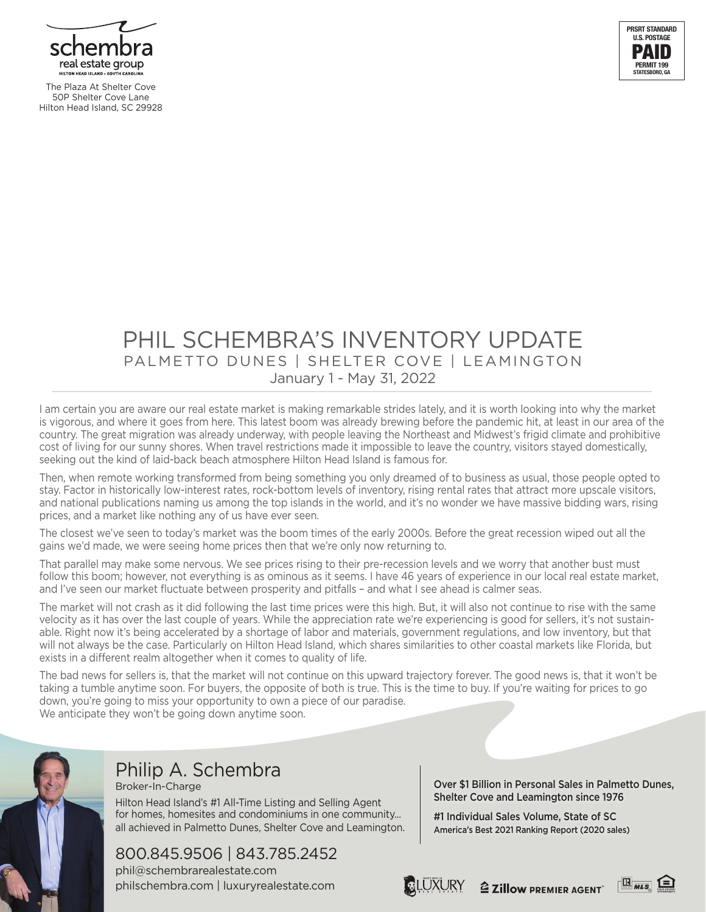

The Plaza At Shelter Cove 50P Shelter Cove Lane Hilton Head Island, SC 29928



## PHIL SCHEMBRA'S INVENTORY UPDATE PALMETTO DUNES | SHELTER COVE | LEAMINGTON January 1 - May 31, 2022

I am certain you are aware our real estate market is making remarkable strides lately, and it is worth looking into why the market is vigorous, and where it goes from here. This latest boom was already brewing before the pandemic hit, at least in our area of the country. The great migration was already underway, with people leaving the Northeast and Midwest's frigid climate and prohibitive cost of living for our sunny shores. When travel restrictions made it impossible to leave the country, visitors stayed domestically, seeking out the kind of laid-back beach atmosphere Hilton Head Island is famous for.

Then, when remote working transformed from being something you only dreamed of to business as usual, those people opted to stay. Factor in historically low-interest rates, rock-bottom levels of inventory, rising rental rates that attract more upscale visitors, and national publications naming us among the top islands in the world, and it's no wonder we have massive bidding wars, rising prices, and a market like nothing any of us have ever seen.

The closest we've seen to today's market was the boom times of the early 2000s. Before the great recession wiped out all the gains we'd made, we were seeing home prices then that we're only now returning to.

That parallel may make some nervous. We see prices rising to their pre-recession levels and we worry that another bust must follow this boom; however, not everything is as ominous as it seems. I have 46 years of experience in our local real estate market, and I've seen our market fluctuate between prosperity and pitfalls – and what I see ahead is calmer seas.

The market will not crash as it did following the last time prices were this high. But, it will also not continue to rise with the same velocity as it has over the last couple of years. While the appreciation rate we're experiencing is good for sellers, it's not sustainable. Right now it's being accelerated by a shortage of labor and materials, government regulations, and low inventory, but that will not always be the case. Particularly on Hilton Head Island, which shares similarities to other coastal markets like Florida, but exists in a different realm altogether when it comes to quality of life.

The bad news for sellers is, that the market will not continue on this upward trajectory forever. The good news is, that it won't be taking a tumble anytime soon. For buyers, the opposite of both is true. This is the time to buy. If you're waiting for prices to go down, you're going to miss your opportunity to own a piece of our paradise. We anticipate they won't be going down anytime soon.



#### Philip A. Schembra Broker-In-Charge

Hilton Head Island's #1 All-Time Listing and Selling Agent for homes, homesites and condominiums in one community... all achieved in Palmetto Dunes, Shelter Cove and Leamington.

## 800.845.9506 | 843.785.2452

phil@schembrarealestate.com philschembra.com | luxuryrealestate.com Over \$1 Billion in Personal Sales in Palmetto Dunes, Shelter Cove and Leamington since 1976

#1 Individual Sales Volume, State of SC America's Best 2021 Ranking Report (2020 sales)





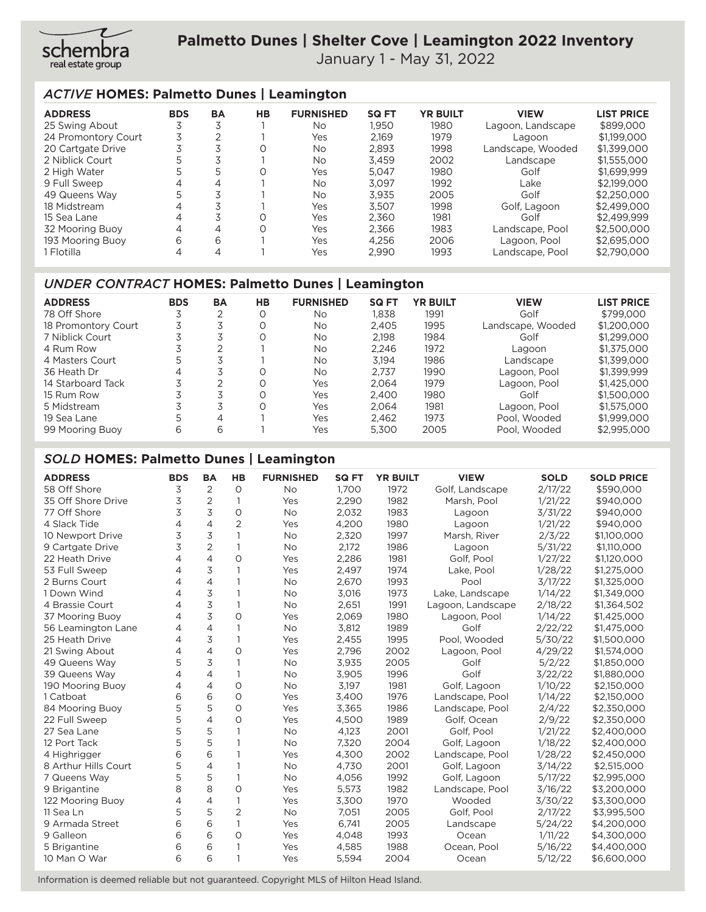

í

January 1 - May 31, 2022

#### *ACTIVE* **HOMES: Palmetto Dunes | Leamington**

| <b>ADDRESS</b>      | <b>BDS</b> | <b>BA</b> | HB       | <b>FURNISHED</b> | <b>SQ FT</b> | <b>YR BUILT</b> | <b>VIEW</b>       | <b>LIST PRICE</b> |
|---------------------|------------|-----------|----------|------------------|--------------|-----------------|-------------------|-------------------|
| 25 Swing About      | 3          |           |          | No               | 1.950        | 1980            | Lagoon, Landscape | \$899,000         |
| 24 Promontory Court | 3          |           |          | Yes              | 2.169        | 1979            | Lagoon            | \$1,199,000       |
| 20 Cartgate Drive   | 3          |           |          | No               | 2.893        | 1998            | Landscape, Wooded | \$1,399,000       |
| 2 Niblick Court     | 5          |           |          | <b>No</b>        | 3,459        | 2002            | Landscape         | \$1,555,000       |
| 2 High Water        | 5          | 5         | $\Omega$ | Yes              | 5.047        | 1980            | Golf              | \$1,699.999       |
| 9 Full Sweep        | 4          | 4         |          | No               | 3.097        | 1992            | Lake              | \$2,199,000       |
| 49 Queens Way       | 5          |           |          | <b>No</b>        | 3.935        | 2005            | Golf              | \$2,250,000       |
| 18 Midstream        | 4          |           |          | Yes              | 3.507        | 1998            | Golf, Lagoon      | \$2,499,000       |
| 15 Sea Lane         | 4          |           |          | Yes              | 2,360        | 1981            | Golf              | \$2,499,999       |
| 32 Mooring Buoy     | 4          | 4         |          | Yes              | 2.366        | 1983            | Landscape, Pool   | \$2,500,000       |
| 193 Mooring Buoy    | 6          | 6         |          | Yes              | 4.256        | 2006            | Lagoon, Pool      | \$2,695,000       |
| 1 Flotilla          | 4          | 4         |          | Yes              | 2,990        | 1993            | Landscape, Pool   | \$2,790,000       |

#### *UNDER CONTRACT* **HOMES: Palmetto Dunes | Leamington**

| <b>ADDRESS</b>      | <b>BDS</b> | <b>BA</b> | HВ       | <b>FURNISHED</b> | <b>SQ FT</b> | <b>YR BUILT</b> | <b>VIEW</b>       | <b>LIST PRICE</b> |
|---------------------|------------|-----------|----------|------------------|--------------|-----------------|-------------------|-------------------|
| 78 Off Shore        | د          |           |          | No.              | 1,838        | 1991            | Golf              | \$799,000         |
| 18 Promontory Court |            |           |          | No               | 2.405        | 1995            | Landscape, Wooded | \$1,200,000       |
| 7 Niblick Court     |            |           | $\Omega$ | No.              | 2.198        | 1984            | Golf              | \$1,299,000       |
| 4 Rum Row           |            |           |          | No               | 2.246        | 1972            | Lagoon            | \$1,375,000       |
| 4 Masters Court     | 5          |           |          | <b>No</b>        | 3.194        | 1986            | Landscape         | \$1,399,000       |
| 36 Heath Dr         | 4          |           |          | No               | 2.737        | 1990            | Lagoon, Pool      | \$1,399,999       |
| 14 Starboard Tack   |            |           | O        | Yes              | 2.064        | 1979            | Lagoon, Pool      | \$1,425,000       |
| 15 Rum Row          |            |           |          | Yes              | 2.400        | 1980            | Golf              | \$1,500,000       |
| 5 Midstream         | 7          |           |          | Yes              | 2.064        | 1981            | Lagoon. Pool      | \$1,575,000       |
| 19 Sea Lane         | 5          | 4         |          | Yes              | 2.462        | 1973            | Pool. Wooded      | \$1,999,000       |
| 99 Mooring Buoy     | 6          | 6         |          | Yes              | 5.300        | 2005            | Pool. Wooded      | \$2,995,000       |

#### *SOLD* **HOMES: Palmetto Dunes | Leamington** ֧֞֝֘

| <b>ADDRESS</b>       | <b>BDS</b>     | <b>BA</b>      | <b>HB</b>      | <b>FURNISHED</b> | <b>SQ FT</b> | <b>YR BUILT</b> | <b>VIEW</b>       | <b>SOLD</b> | <b>SOLD PRICE</b> |
|----------------------|----------------|----------------|----------------|------------------|--------------|-----------------|-------------------|-------------|-------------------|
| 58 Off Shore         | 3              | $\overline{2}$ | $\circ$        | <b>No</b>        | 1.700        | 1972            | Golf, Landscape   | 2/17/22     | \$590,000         |
| 35 Off Shore Drive   | 3              | 2              | $\mathbf{1}$   | Yes              | 2,290        | 1982            | Marsh, Pool       | 1/21/22     | \$940,000         |
| 77 Off Shore         | 3              | 3              | $\circ$        | No               | 2,032        | 1983            | Lagoon            | 3/31/22     | \$940,000         |
| 4 Slack Tide         | $\overline{4}$ | $\overline{4}$ | $\overline{2}$ | Yes              | 4,200        | 1980            | Lagoon            | 1/21/22     | \$940,000         |
| 10 Newport Drive     | 3              | 3              | $\mathbf{1}$   | <b>No</b>        | 2,320        | 1997            | Marsh, River      | 2/3/22      | \$1,100,000       |
| 9 Cartgate Drive     | 3              | $\overline{2}$ | $\mathbf{1}$   | <b>No</b>        | 2,172        | 1986            | Lagoon            | 5/31/22     | \$1,110,000       |
| 22 Heath Drive       | 4              | $\overline{4}$ | $\circ$        | Yes              | 2.286        | 1981            | Golf. Pool        | 1/27/22     | \$1,120,000       |
| 53 Full Sweep        | 4              | 3              | $\mathbf{1}$   | Yes              | 2.497        | 1974            | Lake, Pool        | 1/28/22     | \$1,275,000       |
| 2 Burns Court        | 4              | $\overline{4}$ | $\mathbf{1}$   | No               | 2,670        | 1993            | Pool              | 3/17/22     | \$1,325,000       |
| 1 Down Wind          | 4              | 3              | 1              | <b>No</b>        | 3,016        | 1973            | Lake, Landscape   | 1/14/22     | \$1,349,000       |
| 4 Brassie Court      | 4              | 3              | $\mathbf{1}$   | <b>No</b>        | 2,651        | 1991            | Lagoon, Landscape | 2/18/22     | \$1,364,502       |
| 37 Mooring Buoy      | $\overline{4}$ | 3              | $\circ$        | Yes              | 2,069        | 1980            | Lagoon, Pool      | 1/14/22     | \$1,425,000       |
| 56 Leamington Lane   | 4              | $\overline{4}$ | $\mathbf{1}$   | <b>No</b>        | 3,812        | 1989            | Golf              | 2/22/22     | \$1,475,000       |
| 25 Heath Drive       | 4              | 3              | $\mathbf{1}$   | Yes              | 2,455        | 1995            | Pool. Wooded      | 5/30/22     | \$1,500,000       |
| 21 Swing About       | 4              | 4              | $\circ$        | Yes              | 2,796        | 2002            | Lagoon, Pool      | 4/29/22     | \$1,574,000       |
| 49 Queens Way        | 5              | 3              | $\mathbf{1}$   | <b>No</b>        | 3,935        | 2005            | Golf              | 5/2/22      | \$1,850,000       |
| 39 Queens Way        | 4              | $\overline{4}$ | $\mathbf{1}$   | No               | 3,905        | 1996            | Golf              | 3/22/22     | \$1,880,000       |
| 190 Mooring Buoy     | 4              | $\overline{4}$ | $\circ$        | <b>No</b>        | 3,197        | 1981            | Golf, Lagoon      | 1/10/22     | \$2,150,000       |
| 1 Catboat            | 6              | 6              | $\circ$        | Yes              | 3,400        | 1976            | Landscape, Pool   | 1/14/22     | \$2,150,000       |
| 84 Mooring Buoy      | 5              | 5              | 0              | Yes              | 3,365        | 1986            | Landscape, Pool   | 2/4/22      | \$2,350,000       |
| 22 Full Sweep        | 5              | $\overline{4}$ | $\circ$        | Yes              | 4,500        | 1989            | Golf, Ocean       | 2/9/22      | \$2,350,000       |
| 27 Sea Lane          | 5              | 5              | $\mathbf{1}$   | <b>No</b>        | 4,123        | 2001            | Golf. Pool        | 1/21/22     | \$2,400,000       |
| 12 Port Tack         | 5              | 5              | $\mathbf{1}$   | <b>No</b>        | 7.320        | 2004            | Golf, Lagoon      | 1/18/22     | \$2,400,000       |
| 4 Highrigger         | 6              | 6              | $\mathbf{1}$   | Yes              | 4,300        | 2002            | Landscape, Pool   | 1/28/22     | \$2,450,000       |
| 8 Arthur Hills Court | 5              | $\overline{4}$ | $\mathbf{1}$   | No               | 4,730        | 2001            | Golf, Lagoon      | 3/14/22     | \$2,515,000       |
| 7 Queens Way         | 5              | 5              | $\mathbf{1}$   | <b>No</b>        | 4,056        | 1992            | Golf, Lagoon      | 5/17/22     | \$2,995,000       |
| 9 Brigantine         | 8              | 8              | $\circ$        | Yes              | 5,573        | 1982            | Landscape, Pool   | 3/16/22     | \$3,200,000       |
| 122 Mooring Buoy     | 4              | $\overline{4}$ | $\mathbf{1}$   | Yes              | 3,300        | 1970            | Wooded            | 3/30/22     | \$3,300,000       |
| 11 Sea Ln            | 5              | 5              | $\overline{2}$ | <b>No</b>        | 7,051        | 2005            | Golf. Pool        | 2/17/22     | \$3,995,500       |
| 9 Armada Street      | 6              | 6              | $\mathbf{1}$   | Yes              | 6,741        | 2005            | Landscape         | 5/24/22     | \$4,200,000       |
| 9 Galleon            | 6              | 6              | $\circ$        | Yes              | 4.048        | 1993            | Ocean             | 1/11/22     | \$4,300,000       |
| 5 Brigantine         | 6              | 6              | 1              | Yes              | 4,585        | 1988            | Ocean, Pool       | 5/16/22     | \$4,400,000       |
| 10 Man O War         | 6              | 6              | $\mathbf{1}$   | Yes              | 5,594        | 2004            | Ocean             | 5/12/22     | \$6,600,000       |

Information is deemed reliable but not guaranteed. Copyright MLS of Hilton Head Island.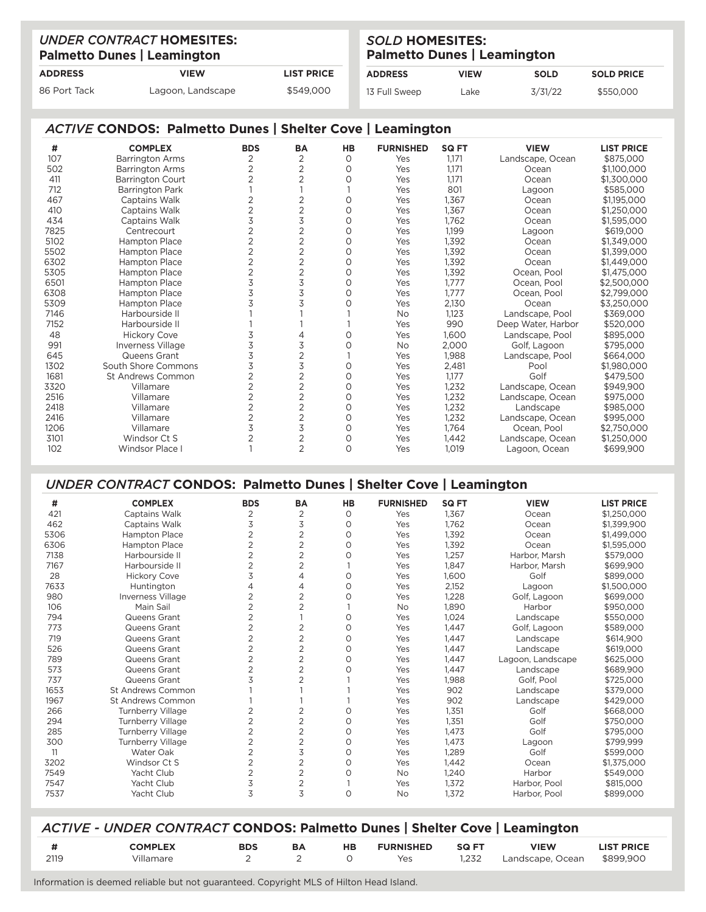|                | <b>UNDER CONTRACT HOMESITES:</b><br><b>Palmetto Dunes   Leamington</b> | <b>SOLD HOMESITES:</b><br><b>Palmetto Dunes   Leamington</b> |                |             |             |                   |
|----------------|------------------------------------------------------------------------|--------------------------------------------------------------|----------------|-------------|-------------|-------------------|
| <b>ADDRESS</b> | <b>VIEW</b>                                                            | <b>LIST PRICE</b>                                            | <b>ADDRESS</b> | <b>VIEW</b> | <b>SOLD</b> | <b>SOLD PRICE</b> |
| 86 Port Tack   | Lagoon, Landscape                                                      | \$549,000                                                    | 13 Full Sweep  | Lake        | 3/31/22     | \$550,000         |

í

### *ACTIVE* **CONDOS: Palmetto Dunes | Shelter Cove | Leamington**

| #    | <b>COMPLEX</b>          | <b>BDS</b>     | <b>BA</b>      | HB       | <b>FURNISHED</b> | <b>SQ FT</b> | <b>VIEW</b>        | <b>LIST PRICE</b> |
|------|-------------------------|----------------|----------------|----------|------------------|--------------|--------------------|-------------------|
| 107  | <b>Barrington Arms</b>  | 2              | $\overline{2}$ | $\circ$  | Yes              | 1,171        | Landscape, Ocean   | \$875,000         |
| 502  | Barrington Arms         | $\overline{2}$ | $\overline{2}$ | $\Omega$ | Yes              | 1,171        | Ocean              | \$1,100,000       |
| 411  | <b>Barrington Court</b> | $\overline{2}$ | 2              | $\Omega$ | Yes              | 1,171        | Ocean              | \$1,300,000       |
| 712  | <b>Barrington Park</b>  |                |                |          | Yes              | 801          | Lagoon             | \$585,000         |
| 467  | Captains Walk           | 2              | $\overline{2}$ | 0        | Yes              | 1,367        | Ocean              | \$1,195,000       |
| 410  | Captains Walk           | 2              | $\overline{2}$ | $\Omega$ | Yes              | 1,367        | Ocean              | \$1,250,000       |
| 434  | Captains Walk           | 3              | 3              | $\circ$  | Yes              | 1,762        | Ocean              | \$1,595,000       |
| 7825 | Centrecourt             | 2              | $\overline{2}$ | $\Omega$ | Yes              | 1,199        | Lagoon             | \$619,000         |
| 5102 | <b>Hampton Place</b>    | 2              | $\overline{2}$ | $\circ$  | Yes              | 1,392        | Ocean              | \$1,349,000       |
| 5502 | <b>Hampton Place</b>    | 2              | 2              | $\Omega$ | Yes              | 1,392        | Ocean              | \$1,399,000       |
| 6302 | <b>Hampton Place</b>    | 2              | $\overline{2}$ | 0        | Yes              | 1,392        | Ocean              | \$1,449,000       |
| 5305 | <b>Hampton Place</b>    | $\overline{2}$ | $\overline{2}$ | $\circ$  | Yes              | 1,392        | Ocean, Pool        | \$1,475,000       |
| 6501 | <b>Hampton Place</b>    | 3              | 3              | $\Omega$ | Yes              | 1,777        | Ocean, Pool        | \$2,500,000       |
| 6308 | <b>Hampton Place</b>    |                | 3              | $\Omega$ | Yes              | 1,777        | Ocean, Pool        | \$2,799,000       |
| 5309 | <b>Hampton Place</b>    |                | 3              | $\Omega$ | Yes              | 2,130        | Ocean              | \$3,250,000       |
| 7146 | Harbourside II          |                |                |          | No               | 1,123        | Landscape, Pool    | \$369,000         |
| 7152 | Harbourside II          |                |                |          | Yes              | 990          | Deep Water, Harbor | \$520,000         |
| 48   | <b>Hickory Cove</b>     |                |                | 0        | Yes              | 1,600        | Landscape, Pool    | \$895,000         |
| 991  | Inverness Village       | 3              | 3              | $\Omega$ | No               | 2,000        | Golf, Lagoon       | \$795,000         |
| 645  | Queens Grant            | 3              | $\overline{2}$ |          | Yes              | 1,988        | Landscape, Pool    | \$664,000         |
| 1302 | South Shore Commons     | 3              | 3              | 0        | Yes              | 2,481        | Pool               | \$1,980,000       |
| 1681 | St Andrews Common       | 2              | $\overline{2}$ | $\circ$  | Yes              | 1,177        | Golf               | \$479,500         |
| 3320 | Villamare               | 2              | 2              | $\Omega$ | Yes              | 1,232        | Landscape, Ocean   | \$949.900         |
| 2516 | Villamare               | $\overline{2}$ | $\overline{2}$ | 0        | Yes              | 1,232        | Landscape, Ocean   | \$975,000         |
| 2418 | Villamare               | 2              | $\overline{2}$ | 0        | Yes              | 1,232        | Landscape          | \$985,000         |
| 2416 | Villamare               | 2              | 2              | $\Omega$ | Yes              | 1,232        | Landscape, Ocean   | \$995,000         |
| 1206 | Villamare               | 3              | 3              | 0        | Yes              | 1,764        | Ocean, Pool        | \$2,750,000       |
| 3101 | Windsor Ct S            |                | $\overline{2}$ | $\Omega$ | Yes              | 1,442        | Landscape, Ocean   | \$1,250,000       |
| 102  | <b>Windsor Place</b>    |                | $\overline{2}$ | $\Omega$ | Yes              | 1,019        | Lagoon, Ocean      | \$699,900         |

# *UNDER CONTRACT* **CONDOS: Palmetto Dunes | Shelter Cove | Leamington**

| #    | <b>COMPLEX</b>           | <b>BDS</b>     | BA             | HB       | <b>FURNISHED</b> | <b>SQ FT</b> | <b>VIEW</b>       | <b>LIST PRICE</b> |
|------|--------------------------|----------------|----------------|----------|------------------|--------------|-------------------|-------------------|
| 421  | Captains Walk            | 2              | 2              | O        | Yes              | 1,367        | Ocean             | \$1,250,000       |
| 462  | Captains Walk            | 3              | 3              | O        | Yes              | 1,762        | Ocean             | \$1,399,900       |
| 5306 | <b>Hampton Place</b>     | 2              | 2              | O        | Yes              | 1.392        | Ocean             | \$1,499,000       |
| 6306 | <b>Hampton Place</b>     |                | $\overline{2}$ | Ο        | Yes              | 1.392        | Ocean             | \$1,595,000       |
| 7138 | Harbourside II           |                | $\overline{2}$ | Ο        | Yes              | 1,257        | Harbor, Marsh     | \$579,000         |
| 7167 | Harbourside II           | 2              | $\overline{2}$ |          | Yes              | 1,847        | Harbor, Marsh     | \$699,900         |
| 28   | <b>Hickory Cove</b>      | 3              | 4              | Ο        | Yes              | 1,600        | Golf              | \$899,000         |
| 7633 | Huntington               |                | 4              | 0        | Yes              | 2,152        | Lagoon            | \$1,500,000       |
| 980  | Inverness Village        |                | $\overline{2}$ | Ο        | Yes              | 1,228        | Golf, Lagoon      | \$699,000         |
| 106  | Main Sail                | 2              | $\overline{2}$ |          | No               | 1.890        | Harbor            | \$950,000         |
| 794  | Queens Grant             | $\overline{2}$ |                | 0        | Yes              | 1,024        | Landscape         | \$550,000         |
| 773  | Queens Grant             | 2              | 2              | $\Omega$ | Yes              | 1.447        | Golf, Lagoon      | \$589,000         |
| 719  | Queens Grant             | $\overline{2}$ | $\overline{2}$ | $\Omega$ | Yes              | 1,447        | Landscape         | \$614,900         |
| 526  | Queens Grant             | $\overline{2}$ | 2              | Ο        | Yes              | 1,447        | Landscape         | \$619,000         |
| 789  | Queens Grant             | $\overline{2}$ | 2              | 0        | Yes              | 1,447        | Lagoon, Landscape | \$625,000         |
| 573  | Queens Grant             | $\overline{2}$ | $\overline{2}$ | Ο        | Yes              | 1.447        | Landscape         | \$689,900         |
| 737  | Queens Grant             | 3              | $\overline{2}$ |          | Yes              | 1,988        | Golf. Pool        | \$725,000         |
| 1653 | <b>St Andrews Common</b> |                |                |          | Yes              | 902          | Landscape         | \$379,000         |
| 1967 | St Andrews Common        |                |                |          | Yes              | 902          | Landscape         | \$429,000         |
| 266  | Turnberry Village        | $\overline{2}$ | $\overline{2}$ | Ο        | Yes              | 1,351        | Golf              | \$668,000         |
| 294  | <b>Turnberry Village</b> | 2              | 2              | $\Omega$ | Yes              | 1,351        | Golf              | \$750,000         |
| 285  | <b>Turnberry Village</b> | $\overline{2}$ | $\overline{2}$ | 0        | Yes              | 1.473        | Golf              | \$795,000         |
| 300  | Turnberry Village        | $\mathfrak{D}$ | $\overline{2}$ | 0        | Yes              | 1,473        | Lagoon            | \$799,999         |
| 11   | Water Oak                | 2              | 3              | Ο        | Yes              | 1,289        | Golf              | \$599,000         |
| 3202 | Windsor Ct S             |                | $\overline{2}$ | $\Omega$ | Yes              | 1,442        | Ocean             | \$1,375,000       |
| 7549 | Yacht Club               | $\overline{2}$ | $\overline{2}$ | Ο        | <b>No</b>        | 1,240        | Harbor            | \$549,000         |
| 7547 | Yacht Club               | 3              | $\overline{2}$ |          | Yes              | 1,372        | Harbor, Pool      | \$815,000         |
| 7537 | Yacht Club               | 3              | 3              | 0        | No               | 1,372        | Harbor, Pool      | \$899,000         |

| ACTIVE - UNDER CONTRACT CONDOS: Palmetto Dunes   Shelter Cove   Leamington |  |  |  |
|----------------------------------------------------------------------------|--|--|--|
|                                                                            |  |  |  |

|      | <b>COMPLEX</b> | <b>BDS</b> | <b>BA</b> | HB | <b>FURNISHED</b> | <b>SQ FT</b> | <b>VIEW</b>      | <b>LIST PRICE</b> |
|------|----------------|------------|-----------|----|------------------|--------------|------------------|-------------------|
| 2119 | Villamare      |            |           |    | Yes              | 1.232        | Landscape, Ocean | \$899,900         |
|      |                |            |           |    |                  |              |                  |                   |

Information is deemed reliable but not guaranteed. Copyright MLS of Hilton Head Island.